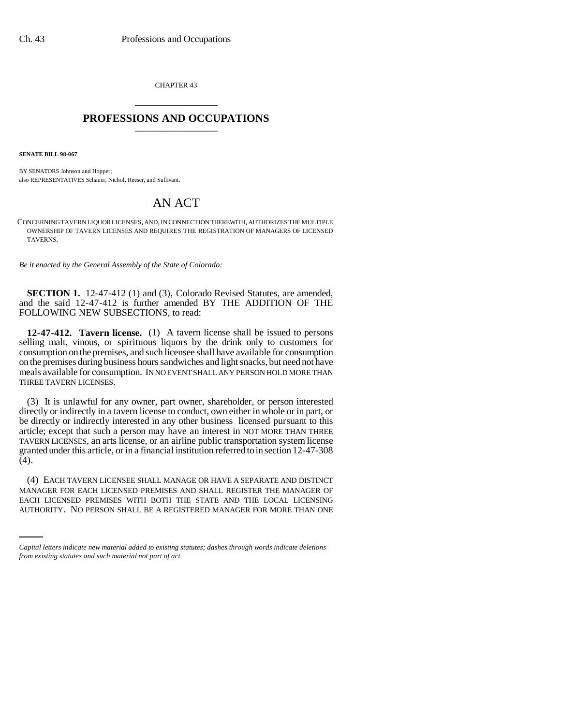CHAPTER 43 \_\_\_\_\_\_\_\_\_\_\_\_\_\_\_

## **PROFESSIONS AND OCCUPATIONS** \_\_\_\_\_\_\_\_\_\_\_\_\_\_\_

**SENATE BILL 98-067**

BY SENATORS Johnson and Hopper; also REPRESENTATIVES Schauer, Nichol, Reeser, and Sullivant.

## AN ACT

CONCERNING TAVERN LIQUOR LICENSES, AND, IN CONNECTION THEREWITH, AUTHORIZES THE MULTIPLE OWNERSHIP OF TAVERN LICENSES AND REQUIRES THE REGISTRATION OF MANAGERS OF LICENSED TAVERNS.

*Be it enacted by the General Assembly of the State of Colorado:*

**SECTION 1.** 12-47-412 (1) and (3), Colorado Revised Statutes, are amended, and the said 12-47-412 is further amended BY THE ADDITION OF THE FOLLOWING NEW SUBSECTIONS, to read:

**12-47-412. Tavern license.** (1) A tavern license shall be issued to persons selling malt, vinous, or spirituous liquors by the drink only to customers for consumption on the premises, and such licensee shall have available for consumption on the premises during business hours sandwiches and light snacks, but need not have meals available for consumption. IN NO EVENT SHALL ANY PERSON HOLD MORE THAN THREE TAVERN LICENSES.

(3) It is unlawful for any owner, part owner, shareholder, or person interested directly or indirectly in a tavern license to conduct, own either in whole or in part, or be directly or indirectly interested in any other business licensed pursuant to this article; except that such a person may have an interest in NOT MORE THAN THREE TAVERN LICENSES, an arts license, or an airline public transportation system license granted under this article, or in a financial institution referred to in section 12-47-308  $(4).$ 

MANAGER FOR EACH LICENSED PREMISES AND SHALL REGISTER THE MANAGER OF (4) EACH TAVERN LICENSEE SHALL MANAGE OR HAVE A SEPARATE AND DISTINCT EACH LICENSED PREMISES WITH BOTH THE STATE AND THE LOCAL LICENSING AUTHORITY. NO PERSON SHALL BE A REGISTERED MANAGER FOR MORE THAN ONE

*Capital letters indicate new material added to existing statutes; dashes through words indicate deletions from existing statutes and such material not part of act.*